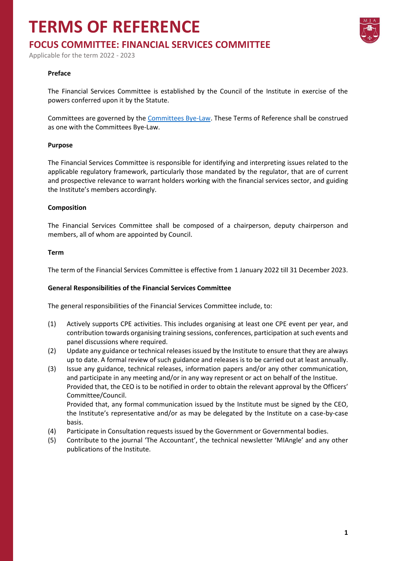## **TERMS OF REFERENCE**



Applicable for the term 2022 - 2023

#### **Preface**

The Financial Services Committee is established by the Council of the Institute in exercise of the powers conferred upon it by the Statute.

Committees are governed by the [Committees Bye-Law.](https://www.miamalta.org/Statute-and-Bye-Laws) These Terms of Reference shall be construed as one with the Committees Bye-Law.

#### **Purpose**

The Financial Services Committee is responsible for identifying and interpreting issues related to the applicable regulatory framework, particularly those mandated by the regulator, that are of current and prospective relevance to warrant holders working with the financial services sector, and guiding the Institute's members accordingly.

#### **Composition**

The Financial Services Committee shall be composed of a chairperson, deputy chairperson and members, all of whom are appointed by Council.

#### **Term**

The term of the Financial Services Committee is effective from 1 January 2022 till 31 December 2023.

#### **General Responsibilities of the Financial Services Committee**

The general responsibilities of the Financial Services Committee include, to:

- (1) Actively supports CPE activities. This includes organising at least one CPE event per year, and contribution towards organising training sessions, conferences, participation at such events and panel discussions where required.
- (2) Update any guidance or technical releases issued by the Institute to ensure that they are always up to date. A formal review of such guidance and releases is to be carried out at least annually.
- (3) Issue any guidance, technical releases, information papers and/or any other communication, and participate in any meeting and/or in any way represent or act on behalf of the Institue. Provided that, the CEO is to be notified in order to obtain the relevant approval by the Officers' Committee/Council. Provided that, any formal communication issued by the Institute must be signed by the CEO,
	- the Institute's representative and/or as may be delegated by the Institute on a case-by-case basis.
- (4) Participate in Consultation requests issued by the Government or Governmental bodies.
- (5) Contribute to the journal 'The Accountant', the technical newsletter 'MIAngle' and any other publications of the Institute.